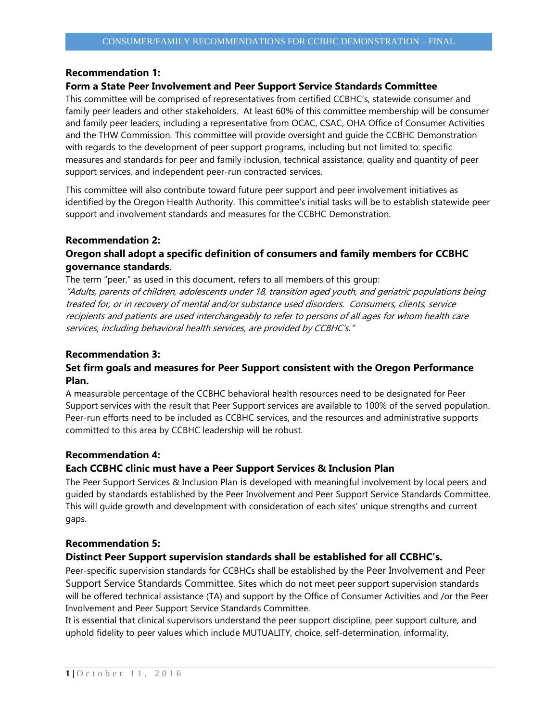### **Recommendation 1:**

#### **Form a State Peer Involvement and Peer Support Service Standards Committee**

This committee will be comprised of representatives from certified CCBHC's, statewide consumer and family peer leaders and other stakeholders. At least 60% of this committee membership will be consumer and family peer leaders, including a representative from OCAC, CSAC, OHA Office of Consumer Activities and the THW Commission. This committee will provide oversight and guide the CCBHC Demonstration with regards to the development of peer support programs, including but not limited to: specific measures and standards for peer and family inclusion, technical assistance, quality and quantity of peer support services, and independent peer-run contracted services.

This committee will also contribute toward future peer support and peer involvement initiatives as identified by the Oregon Health Authority. This committee's initial tasks will be to establish statewide peer support and involvement standards and measures for the CCBHC Demonstration.

# **Recommendation 2:**

# **Oregon shall adopt a specific definition of consumers and family members for CCBHC governance standards**.

The term "peer," as used in this document, refers to all members of this group: "Adults, parents of children, adolescents under 18, transition aged youth, and geriatric populations being treated for, or in recovery of mental and/or substance used disorders. Consumers, clients, service recipients and patients are used interchangeably to refer to persons of all ages for whom health care services, including behavioral health services, are provided by CCBHC's."

### **Recommendation 3:**

## **Set firm goals and measures for Peer Support consistent with the Oregon Performance Plan.**

A measurable percentage of the CCBHC behavioral health resources need to be designated for Peer Support services with the result that Peer Support services are available to 100% of the served population. Peer-run efforts need to be included as CCBHC services, and the resources and administrative supports committed to this area by CCBHC leadership will be robust.

### **Recommendation 4:**

### **Each CCBHC clinic must have a Peer Support Services & Inclusion Plan**

The Peer Support Services & Inclusion Plan is developed with meaningful involvement by local peers and guided by standards established by the Peer Involvement and Peer Support Service Standards Committee. This will guide growth and development with consideration of each sites' unique strengths and current gaps.

### **Recommendation 5:**

## **Distinct Peer Support supervision standards shall be established for all CCBHC's.**

Peer-specific supervision standards for CCBHCs shall be established by the Peer Involvement and Peer Support Service Standards Committee. Sites which do not meet peer support supervision standards will be offered technical assistance (TA) and support by the Office of Consumer Activities and /or the Peer Involvement and Peer Support Service Standards Committee.

It is essential that clinical supervisors understand the peer support discipline, peer support culture, and uphold fidelity to peer values which include MUTUALITY, choice, self-determination, informality,